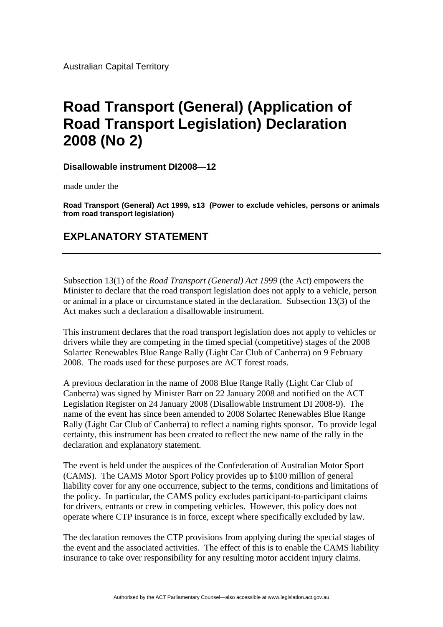## **Road Transport (General) (Application of Road Transport Legislation) Declaration 2008 (No 2)**

**Disallowable instrument DI2008—12**

made under the

**Road Transport (General) Act 1999, s13 (Power to exclude vehicles, persons or animals from road transport legislation)**

## **EXPLANATORY STATEMENT**

Subsection 13(1) of the *Road Transport (General) Act 1999* (the Act) empowers the Minister to declare that the road transport legislation does not apply to a vehicle, person or animal in a place or circumstance stated in the declaration. Subsection 13(3) of the Act makes such a declaration a disallowable instrument.

This instrument declares that the road transport legislation does not apply to vehicles or drivers while they are competing in the timed special (competitive) stages of the 2008 Solartec Renewables Blue Range Rally (Light Car Club of Canberra) on 9 February 2008. The roads used for these purposes are ACT forest roads.

A previous declaration in the name of 2008 Blue Range Rally (Light Car Club of Canberra) was signed by Minister Barr on 22 January 2008 and notified on the ACT Legislation Register on 24 January 2008 (Disallowable Instrument DI 2008-9). The name of the event has since been amended to 2008 Solartec Renewables Blue Range Rally (Light Car Club of Canberra) to reflect a naming rights sponsor. To provide legal certainty, this instrument has been created to reflect the new name of the rally in the declaration and explanatory statement.

The event is held under the auspices of the Confederation of Australian Motor Sport (CAMS). The CAMS Motor Sport Policy provides up to \$100 million of general liability cover for any one occurrence, subject to the terms, conditions and limitations of the policy. In particular, the CAMS policy excludes participant-to-participant claims for drivers, entrants or crew in competing vehicles. However, this policy does not operate where CTP insurance is in force, except where specifically excluded by law.

The declaration removes the CTP provisions from applying during the special stages of the event and the associated activities. The effect of this is to enable the CAMS liability insurance to take over responsibility for any resulting motor accident injury claims.